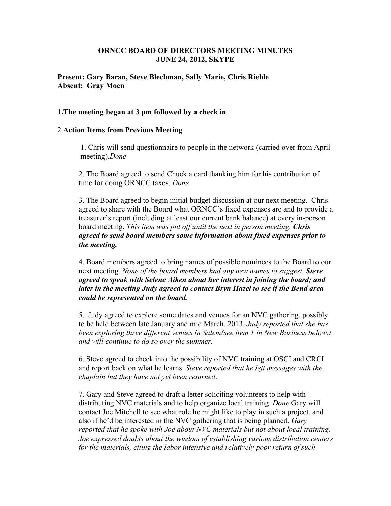## **ORNCC BOARD OF DIRECTORS MEETING MINUTES JUNE 24, 2012, SKYPE**

## **Present: Gary Baran, Steve Blechman, Sally Marie, Chris Riehle Absent: Gray Moen**

### 1**.The meeting began at 3 pm followed by a check in**

#### 2.**Action Items from Previous Meeting**

1. Chris will send questionnaire to people in the network (carried over from April meeting).*Done*

2. The Board agreed to send Chuck a card thanking him for his contribution of time for doing ORNCC taxes. *Done*

3. The Board agreed to begin initial budget discussion at our next meeting. Chris agreed to share with the Board what ORNCC's fixed expenses are and to provide a treasurer's report (including at least our current bank balance) at every in-person board meeting. *This item was put off until the next in person meeting. Chris agreed to send board members some information about fixed expenses prior to the meeting.*

4. Board members agreed to bring names of possible nominees to the Board to our next meeting. *None of the board members had any new names to suggest. Steve agreed to speak with Selene Aiken about her interest in joining the board; and later in the meeting Judy agreed to contact Bryn Hazel to see if the Bend area could be represented on the board.*

5. Judy agreed to explore some dates and venues for an NVC gathering, possibly to be held between late January and mid March, 2013. *Judy reported that she has been exploring three different venues in Salem(see item 1 in New Business below.) and will continue to do so over the summer.*

6. Steve agreed to check into the possibility of NVC training at OSCI and CRCI and report back on what he learns. *Steve reported that he left messages with the chaplain but they have not yet been returned*.

7. Gary and Steve agreed to draft a letter soliciting volunteers to help with distributing NVC materials and to help organize local training. *Done* Gary will contact Joe Mitchell to see what role he might like to play in such a project, and also if he'd be interested in the NVC gathering that is being planned. *Gary reported that he spoke with Joe about NVC materials but not about local training. Joe expressed doubts about the wisdom of establishing various distribution centers for the materials, citing the labor intensive and relatively poor return of such*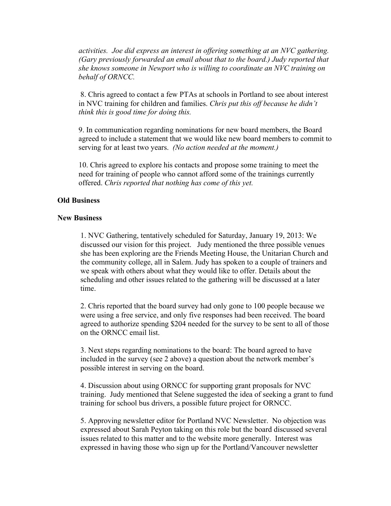*activities. Joe did express an interest in offering something at an NVC gathering. (Gary previously forwarded an email about that to the board.) Judy reported that she knows someone in Newport who is willing to coordinate an NVC training on behalf of ORNCC.*

8. Chris agreed to contact a few PTAs at schools in Portland to see about interest in NVC training for children and families. *Chris put this off because he didn't think this is good time for doing this.*

9. In communication regarding nominations for new board members, the Board agreed to include a statement that we would like new board members to commit to serving for at least two years. *(No action needed at the moment.)*

10. Chris agreed to explore his contacts and propose some training to meet the need for training of people who cannot afford some of the trainings currently offered. *Chris reported that nothing has come of this yet.*

## **Old Business**

#### **New Business**

1. NVC Gathering, tentatively scheduled for Saturday, January 19, 2013: We discussed our vision for this project. Judy mentioned the three possible venues she has been exploring are the Friends Meeting House, the Unitarian Church and the community college, all in Salem. Judy has spoken to a couple of trainers and we speak with others about what they would like to offer. Details about the scheduling and other issues related to the gathering will be discussed at a later time.

2. Chris reported that the board survey had only gone to 100 people because we were using a free service, and only five responses had been received. The board agreed to authorize spending \$204 needed for the survey to be sent to all of those on the ORNCC email list.

3. Next steps regarding nominations to the board: The board agreed to have included in the survey (see 2 above) a question about the network member's possible interest in serving on the board.

4. Discussion about using ORNCC for supporting grant proposals for NVC training. Judy mentioned that Selene suggested the idea of seeking a grant to fund training for school bus drivers, a possible future project for ORNCC.

5. Approving newsletter editor for Portland NVC Newsletter. No objection was expressed about Sarah Peyton taking on this role but the board discussed several issues related to this matter and to the website more generally. Interest was expressed in having those who sign up for the Portland/Vancouver newsletter